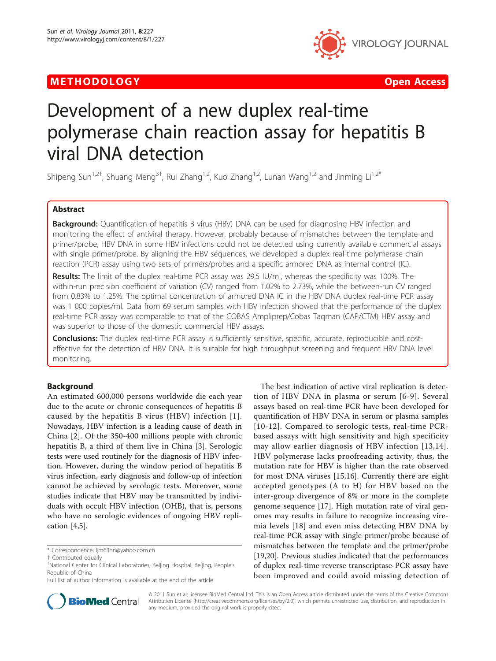## METHODOLOGY CONTROLLER CONTROLLER CONTROLLER CONTROLLER CONTROLLER CONTROLLER CONTROLLER CONTROLLER CONTROLLER



# Development of a new duplex real-time polymerase chain reaction assay for hepatitis B viral DNA detection

Shipeng Sun<sup>1,2†</sup>, Shuang Meng<sup>3†</sup>, Rui Zhang<sup>1,2</sup>, Kuo Zhang<sup>1,2</sup>, Lunan Wang<sup>1,2</sup> and Jinming Li<sup>1,2\*</sup>

## Abstract

**Background:** Quantification of hepatitis B virus (HBV) DNA can be used for diagnosing HBV infection and monitoring the effect of antiviral therapy. However, probably because of mismatches between the template and primer/probe, HBV DNA in some HBV infections could not be detected using currently available commercial assays with single primer/probe. By aligning the HBV sequences, we developed a duplex real-time polymerase chain reaction (PCR) assay using two sets of primers/probes and a specific armored DNA as internal control (IC).

Results: The limit of the duplex real-time PCR assay was 29.5 IU/ml, whereas the specificity was 100%. The within-run precision coefficient of variation (CV) ranged from 1.02% to 2.73%, while the between-run CV ranged from 0.83% to 1.25%. The optimal concentration of armored DNA IC in the HBV DNA duplex real-time PCR assay was 1 000 copies/ml. Data from 69 serum samples with HBV infection showed that the performance of the duplex real-time PCR assay was comparable to that of the COBAS Ampliprep/Cobas Taqman (CAP/CTM) HBV assay and was superior to those of the domestic commercial HBV assays.

**Conclusions:** The duplex real-time PCR assay is sufficiently sensitive, specific, accurate, reproducible and costeffective for the detection of HBV DNA. It is suitable for high throughput screening and frequent HBV DNA level monitoring.

## Background

An estimated 600,000 persons worldwide die each year due to the acute or chronic consequences of hepatitis B caused by the hepatitis B virus (HBV) infection [[1\]](#page-5-0). Nowadays, HBV infection is a leading cause of death in China [\[2](#page-5-0)]. Of the 350-400 millions people with chronic hepatitis B, a third of them live in China [[3\]](#page-5-0). Serologic tests were used routinely for the diagnosis of HBV infection. However, during the window period of hepatitis B virus infection, early diagnosis and follow-up of infection cannot be achieved by serologic tests. Moreover, some studies indicate that HBV may be transmitted by individuals with occult HBV infection (OHB), that is, persons who have no serologic evidences of ongoing HBV replication [\[4,5\]](#page-5-0).

Full list of author information is available at the end of the article





© 2011 Sun et al; licensee BioMed Central Ltd. This is an Open Access article distributed under the terms of the Creative Commons Attribution License [\(http://creativecommons.org/licenses/by/2.0](http://creativecommons.org/licenses/by/2.0)), which permits unrestricted use, distribution, and reproduction in any medium, provided the original work is properly cited.

<sup>\*</sup> Correspondence: [ljm63hn@yahoo.com.cn](mailto:ljm63hn@yahoo.com.cn)

<sup>†</sup> Contributed equally <sup>1</sup>

<sup>&</sup>lt;sup>1</sup>National Center for Clinical Laboratories, Beijing Hospital, Beijing, People's Republic of China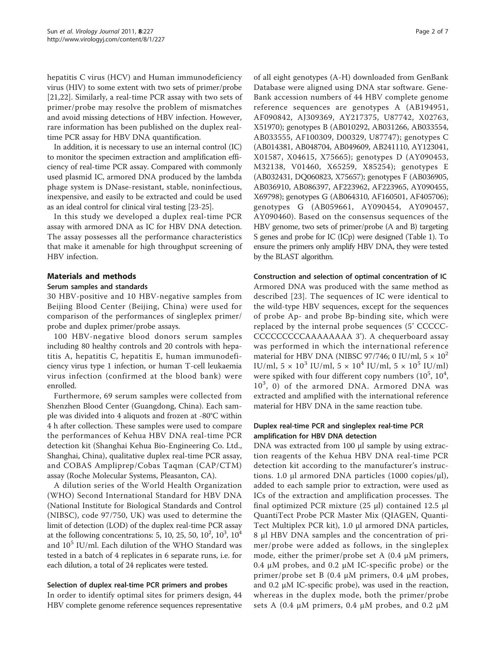hepatitis C virus (HCV) and Human immunodeficiency virus (HIV) to some extent with two sets of primer/probe [[21,22](#page-6-0)]. Similarly, a real-time PCR assay with two sets of primer/probe may resolve the problem of mismatches and avoid missing detections of HBV infection. However, rare information has been published on the duplex realtime PCR assay for HBV DNA quantification.

In addition, it is necessary to use an internal control (IC) to monitor the specimen extraction and amplification efficiency of real-time PCR assay. Compared with commonly used plasmid IC, armored DNA produced by the lambda phage system is DNase-resistant, stable, noninfectious, inexpensive, and easily to be extracted and could be used as an ideal control for clinical viral testing [[23-25](#page-6-0)].

In this study we developed a duplex real-time PCR assay with armored DNA as IC for HBV DNA detection. The assay possesses all the performance characteristics that make it amenable for high throughput screening of HBV infection.

## Materials and methods

#### Serum samples and standards

30 HBV-positive and 10 HBV-negative samples from Beijing Blood Center (Beijing, China) were used for comparison of the performances of singleplex primer/ probe and duplex primer/probe assays.

100 HBV-negative blood donors serum samples including 80 healthy controls and 20 controls with hepatitis A, hepatitis C, hepatitis E, human immunodeficiency virus type 1 infection, or human T-cell leukaemia virus infection (confirmed at the blood bank) were enrolled.

Furthermore, 69 serum samples were collected from Shenzhen Blood Center (Guangdong, China). Each sample was divided into 4 aliquots and frozen at -80°C within 4 h after collection. These samples were used to compare the performances of Kehua HBV DNA real-time PCR detection kit (Shanghai Kehua Bio-Engineering Co. Ltd., Shanghai, China), qualitative duplex real-time PCR assay, and COBAS Ampliprep/Cobas Taqman (CAP/CTM) assay (Roche Molecular Systems, Pleasanton, CA).

A dilution series of the World Health Organization (WHO) Second International Standard for HBV DNA (National Institute for Biological Standards and Control (NIBSC), code 97/750, UK) was used to determine the limit of detection (LOD) of the duplex real-time PCR assay at the following concentrations: 5, 10, 25, 50,  $10^2$ ,  $10^3$ ,  $10^4$ and  $10<sup>5</sup>$  IU/ml. Each dilution of the WHO Standard was tested in a batch of 4 replicates in 6 separate runs, i.e. for each dilution, a total of 24 replicates were tested.

#### Selection of duplex real-time PCR primers and probes

In order to identify optimal sites for primers design, 44 HBV complete genome reference sequences representative

of all eight genotypes (A-H) downloaded from GenBank Database were aligned using DNA star software. Gene-Bank accession numbers of 44 HBV complete genome reference sequences are genotypes A ([AB194951](http://www.ncbi.nih.gov/entrez/query.fcgi?db=Nucleotide&cmd=search&term=AB194951), [AF090842](http://www.ncbi.nih.gov/entrez/query.fcgi?db=Nucleotide&cmd=search&term=AF090842), [AJ309369,](http://www.ncbi.nih.gov/entrez/query.fcgi?db=Nucleotide&cmd=search&term=AJ309369) [AY217375](http://www.ncbi.nih.gov/entrez/query.fcgi?db=Nucleotide&cmd=search&term=AY217375), [U87742,](http://www.ncbi.nih.gov/entrez/query.fcgi?db=Nucleotide&cmd=search&term=U87742) [X02763](http://www.ncbi.nih.gov/entrez/query.fcgi?db=Nucleotide&cmd=search&term=X02763), [X51970](http://www.ncbi.nih.gov/entrez/query.fcgi?db=Nucleotide&cmd=search&term=X51970)); genotypes B ([AB010292,](http://www.ncbi.nih.gov/entrez/query.fcgi?db=Nucleotide&cmd=search&term=AB010292) [AB031266](http://www.ncbi.nih.gov/entrez/query.fcgi?db=Nucleotide&cmd=search&term=AB031266), [AB033554](http://www.ncbi.nih.gov/entrez/query.fcgi?db=Nucleotide&cmd=search&term=AB033554), [AB033555](http://www.ncbi.nih.gov/entrez/query.fcgi?db=Nucleotide&cmd=search&term=AB033555), [AF100309,](http://www.ncbi.nih.gov/entrez/query.fcgi?db=Nucleotide&cmd=search&term=AF100309) [D00329,](http://www.ncbi.nih.gov/entrez/query.fcgi?db=Nucleotide&cmd=search&term=D00329) [U87747\)](http://www.ncbi.nih.gov/entrez/query.fcgi?db=Nucleotide&cmd=search&term=U87747); genotypes C ([AB014381,](http://www.ncbi.nih.gov/entrez/query.fcgi?db=Nucleotide&cmd=search&term=AB014381) [AB048704](http://www.ncbi.nih.gov/entrez/query.fcgi?db=Nucleotide&cmd=search&term=AB048704), [AB049609,](http://www.ncbi.nih.gov/entrez/query.fcgi?db=Nucleotide&cmd=search&term=AB049609) [AB241110](http://www.ncbi.nih.gov/entrez/query.fcgi?db=Nucleotide&cmd=search&term=AB241110), [AY123041](http://www.ncbi.nih.gov/entrez/query.fcgi?db=Nucleotide&cmd=search&term=AY123041), [X01587](http://www.ncbi.nih.gov/entrez/query.fcgi?db=Nucleotide&cmd=search&term=X01587), [X04615](http://www.ncbi.nih.gov/entrez/query.fcgi?db=Nucleotide&cmd=search&term=X04615), [X75665](http://www.ncbi.nih.gov/entrez/query.fcgi?db=Nucleotide&cmd=search&term=X75665)); genotypes D ([AY090453](http://www.ncbi.nih.gov/entrez/query.fcgi?db=Nucleotide&cmd=search&term=AY090453), [M32138](http://www.ncbi.nih.gov/entrez/query.fcgi?db=Nucleotide&cmd=search&term=M32138), [V01460](http://www.ncbi.nih.gov/entrez/query.fcgi?db=Nucleotide&cmd=search&term=V01460), [X65259](http://www.ncbi.nih.gov/entrez/query.fcgi?db=Nucleotide&cmd=search&term=X65259), [X85254](http://www.ncbi.nih.gov/entrez/query.fcgi?db=Nucleotide&cmd=search&term=X85254)); genotypes E ([AB032431](http://www.ncbi.nih.gov/entrez/query.fcgi?db=Nucleotide&cmd=search&term=AB032431), [DQ060823,](http://www.ncbi.nih.gov/entrez/query.fcgi?db=Nucleotide&cmd=search&term=DQ060823) [X75657](http://www.ncbi.nih.gov/entrez/query.fcgi?db=Nucleotide&cmd=search&term=X75657)); genotypes F ([AB036905](http://www.ncbi.nih.gov/entrez/query.fcgi?db=Nucleotide&cmd=search&term=AB036905), [AB036910](http://www.ncbi.nih.gov/entrez/query.fcgi?db=Nucleotide&cmd=search&term=AB036910), [AB086397,](http://www.ncbi.nih.gov/entrez/query.fcgi?db=Nucleotide&cmd=search&term=AB086397) [AF223962,](http://www.ncbi.nih.gov/entrez/query.fcgi?db=Nucleotide&cmd=search&term=AF223962) [AF223965,](http://www.ncbi.nih.gov/entrez/query.fcgi?db=Nucleotide&cmd=search&term=AF223965) [AY090455](http://www.ncbi.nih.gov/entrez/query.fcgi?db=Nucleotide&cmd=search&term=AY090455), [X69798\)](http://www.ncbi.nih.gov/entrez/query.fcgi?db=Nucleotide&cmd=search&term=X69798); genotypes G ([AB064310](http://www.ncbi.nih.gov/entrez/query.fcgi?db=Nucleotide&cmd=search&term=AB064310), [AF160501](http://www.ncbi.nih.gov/entrez/query.fcgi?db=Nucleotide&cmd=search&term=AF160501), [AF405706](http://www.ncbi.nih.gov/entrez/query.fcgi?db=Nucleotide&cmd=search&term=AF405706)); genotypes G ([AB059661,](http://www.ncbi.nih.gov/entrez/query.fcgi?db=Nucleotide&cmd=search&term=AB059661) [AY090454,](http://www.ncbi.nih.gov/entrez/query.fcgi?db=Nucleotide&cmd=search&term=AY090454) [AY090457](http://www.ncbi.nih.gov/entrez/query.fcgi?db=Nucleotide&cmd=search&term=AY090457), [AY090460\)](http://www.ncbi.nih.gov/entrez/query.fcgi?db=Nucleotide&cmd=search&term=AY090460). Based on the consensus sequences of the HBV genome, two sets of primer/probe (A and B) targeting S genes and probe for IC (ICp) were designed (Table [1](#page-2-0)). To ensure the primers only amplify HBV DNA, they were tested by the BLAST algorithm.

#### Construction and selection of optimal concentration of IC

Armored DNA was produced with the same method as described [[23](#page-6-0)]. The sequences of IC were identical to the wild-type HBV sequences, except for the sequences of probe Ap- and probe Bp-binding site, which were replaced by the internal probe sequences (5' CCCCC-CCCCCCCCCAAAAAAAA 3'). A chequerboard assay was performed in which the international reference material for HBV DNA (NIBSC 97/746; 0 IU/ml,  $5 \times 10^2$ IU/ml,  $5 \times 10^3$  IU/ml,  $5 \times 10^4$  IU/ml,  $5 \times 10^5$  IU/ml) were spiked with four different copy numbers  $(10^5, 10^4,$ 10<sup>3</sup>, 0) of the armored DNA. Armored DNA was extracted and amplified with the international reference material for HBV DNA in the same reaction tube.

#### Duplex real-time PCR and singleplex real-time PCR amplification for HBV DNA detection

DNA was extracted from 100 μl sample by using extraction reagents of the Kehua HBV DNA real-time PCR detection kit according to the manufacturer's instructions. 1.0 μl armored DNA particles (1000 copies/μl), added to each sample prior to extraction, were used as ICs of the extraction and amplification processes. The final optimized PCR mixture (25 μl) contained 12.5 μl QuantiTect Probe PCR Master Mix (QIAGEN, Quanti-Tect Multiplex PCR kit), 1.0 μl armored DNA particles, 8 μl HBV DNA samples and the concentration of primer/probe were added as follows, in the singleplex mode, either the primer/probe set A  $(0.4 \mu M)$  primers, 0.4 μM probes, and 0.2 μM IC-specific probe) or the primer/probe set B (0.4 μM primers, 0.4 μM probes, and  $0.2 \mu$ M IC-specific probe), was used in the reaction, whereas in the duplex mode, both the primer/probe sets A (0.4  $\mu$ M primers, 0.4  $\mu$ M probes, and 0.2  $\mu$ M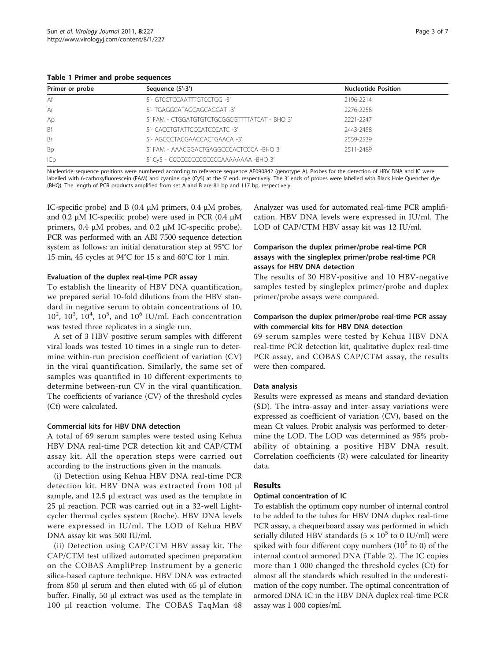<span id="page-2-0"></span>Table 1 Primer and probe sequences

| Primer or probe | Sequence (5'-3')                              | <b>Nucleotide Position</b> |
|-----------------|-----------------------------------------------|----------------------------|
| Af              | 5'- GTCCTCCAATTTGTCCTGG -3'                   | 2196-2214                  |
| Ar              | 5'- TGAGGCATAGCAGCAGGAT -3'                   | 2276-2258                  |
| Ap              | 5' FAM - CTGGATGTGTCTGCGGCGTTTTATCAT - BHQ 3' | 2221-2247                  |
| <b>Bf</b>       | 5'- CACCTGTATTCCCATCCCATC -3'                 | 2443-2458                  |
| Br              | 5'- AGCCCTACGAACCACTGAACA -3'                 | 2559-2539                  |
| <b>Bp</b>       | 5' FAM - AAACGGACTGAGGCCCACTCCCA -BHQ 3'      | 2511-2489                  |
| ICp             | 5' Cy5 - CCCCCCCCCCCCCCCAAAAAAAA -BHQ 3'      |                            |

Nucleotide sequence positions were numbered according to reference sequence AF090842 (genotype A). Probes for the detection of HBV DNA and IC were labelled with 6-carboxyfluorescein (FAM) and cyanine dye (Cy5) at the 5' end, respectively. The 3' ends of probes were labelled with Black Hole Quencher dye (BHQ). The length of PCR products amplified from set A and B are 81 bp and 117 bp, respectively.

IC-specific probe) and B (0.4  $\mu$ M primers, 0.4  $\mu$ M probes, and 0.2 μM IC-specific probe) were used in PCR (0.4 μM primers, 0.4 μM probes, and 0.2 μM IC-specific probe). PCR was performed with an ABI 7500 sequence detection system as follows: an initial denaturation step at 95°C for 15 min, 45 cycles at 94°C for 15 s and 60°C for 1 min.

#### Evaluation of the duplex real-time PCR assay

To establish the linearity of HBV DNA quantification, we prepared serial 10-fold dilutions from the HBV standard in negative serum to obtain concentrations of 10,  $10^2$ ,  $10^3$ ,  $10^4$ ,  $10^5$ , and  $10^6$  IU/ml. Each concentration was tested three replicates in a single run.

A set of 3 HBV positive serum samples with different viral loads was tested 10 times in a single run to determine within-run precision coefficient of variation (CV) in the viral quantification. Similarly, the same set of samples was quantified in 10 different experiments to determine between-run CV in the viral quantification. The coefficients of variance (CV) of the threshold cycles (Ct) were calculated.

## Commercial kits for HBV DNA detection

A total of 69 serum samples were tested using Kehua HBV DNA real-time PCR detection kit and CAP/CTM assay kit. All the operation steps were carried out according to the instructions given in the manuals.

(i) Detection using Kehua HBV DNA real-time PCR detection kit. HBV DNA was extracted from 100 μl sample, and 12.5 μl extract was used as the template in 25 μl reaction. PCR was carried out in a 32-well Lightcycler thermal cycles system (Roche). HBV DNA levels were expressed in IU/ml. The LOD of Kehua HBV DNA assay kit was 500 IU/ml.

(ii) Detection using CAP/CTM HBV assay kit. The CAP/CTM test utilized automated specimen preparation on the COBAS AmpliPrep Instrument by a generic silica-based capture technique. HBV DNA was extracted from 850 μl serum and then eluted with 65 μl of elution buffer. Finally, 50 μl extract was used as the template in 100 μl reaction volume. The COBAS TaqMan 48

Analyzer was used for automated real-time PCR amplification. HBV DNA levels were expressed in IU/ml. The LOD of CAP/CTM HBV assay kit was 12 IU/ml.

## Comparison the duplex primer/probe real-time PCR assays with the singleplex primer/probe real-time PCR assays for HBV DNA detection

The results of 30 HBV-positive and 10 HBV-negative samples tested by singleplex primer/probe and duplex primer/probe assays were compared.

## Comparison the duplex primer/probe real-time PCR assay with commercial kits for HBV DNA detection

69 serum samples were tested by Kehua HBV DNA real-time PCR detection kit, qualitative duplex real-time PCR assay, and COBAS CAP/CTM assay, the results were then compared.

## Data analysis

Results were expressed as means and standard deviation (SD). The intra-assay and inter-assay variations were expressed as coefficient of variation (CV), based on the mean Ct values. Probit analysis was performed to determine the LOD. The LOD was determined as 95% probability of obtaining a positive HBV DNA result. Correlation coefficients (R) were calculated for linearity data.

## Results

## Optimal concentration of IC

To establish the optimum copy number of internal control to be added to the tubes for HBV DNA duplex real-time PCR assay, a chequerboard assay was performed in which serially diluted HBV standards ( $5 \times 10^5$  to 0 IU/ml) were spiked with four different copy numbers  $(10<sup>5</sup>$  to 0) of the internal control armored DNA (Table [2](#page-3-0)). The IC copies more than 1 000 changed the threshold cycles (Ct) for almost all the standards which resulted in the underestimation of the copy number. The optimal concentration of armored DNA IC in the HBV DNA duplex real-time PCR assay was 1 000 copies/ml.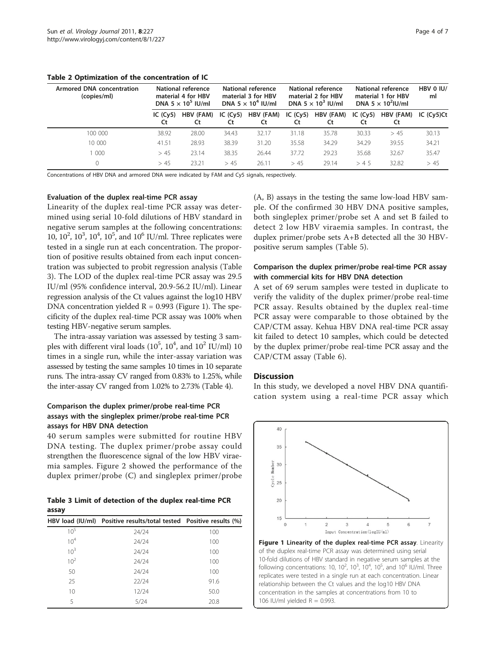<span id="page-3-0"></span>

|  |  |  |  |  | Table 2 Optimization of the concentration of IC |  |  |
|--|--|--|--|--|-------------------------------------------------|--|--|
|--|--|--|--|--|-------------------------------------------------|--|--|

| <b>Armored DNA concentration</b><br>(copies/ml) | National reference<br>material 4 for HBV<br>DNA 5 $\times$ 10 <sup>5</sup> IU/ml |                 | National reference<br>material 3 for HBV<br>DNA 5 $\times$ 10 <sup>4</sup> IU/ml |                 | <b>National reference</b><br>material 2 for HBV<br>DNA 5 $\times$ 10 <sup>3</sup> IU/ml |                 | National reference<br>material 1 for HBV<br>DNA 5 $\times$ 10 <sup>2</sup> IU/ml |                 | HBV 0 IU/<br>ml |  |
|-------------------------------------------------|----------------------------------------------------------------------------------|-----------------|----------------------------------------------------------------------------------|-----------------|-----------------------------------------------------------------------------------------|-----------------|----------------------------------------------------------------------------------|-----------------|-----------------|--|
|                                                 | IC $(Cy5)$<br>Ct                                                                 | HBV (FAM)<br>Ct | IC $(Cy5)$<br>Ct                                                                 | HBV (FAM)<br>Ct | IC $(Cy5)$<br>Ct                                                                        | HBV (FAM)<br>Ct | IC $(Cy5)$<br>Ct                                                                 | HBV (FAM)<br>Ct | IC (Cy5)Ct      |  |
| 100 000                                         | 38.92                                                                            | 28.00           | 34.43                                                                            | 32.17           | 31.18                                                                                   | 35.78           | 30.33                                                                            | > 45            | 30.13           |  |
| 10 000                                          | 41.51                                                                            | 28.93           | 38.39                                                                            | 31.20           | 35.58                                                                                   | 34.29           | 34.29                                                                            | 39.55           | 34.21           |  |
| 000                                             | > 45                                                                             | 23.14           | 38.35                                                                            | 26.44           | 37.72                                                                                   | 29.23           | 35.68                                                                            | 32.67           | 35.47           |  |
|                                                 | >45                                                                              | 23.21           | > 45                                                                             | 26.11           | >45                                                                                     | 29.14           | >4.5                                                                             | 32.82           | > 45            |  |

Concentrations of HBV DNA and armored DNA were indicated by FAM and Cy5 signals, respectively.

#### Evaluation of the duplex real-time PCR assay

Linearity of the duplex real-time PCR assay was determined using serial 10-fold dilutions of HBV standard in negative serum samples at the following concentrations: 10,  $10^2$ ,  $10^3$ ,  $10^4$ ,  $10^5$ , and  $10^6$  IU/ml. Three replicates were tested in a single run at each concentration. The proportion of positive results obtained from each input concentration was subjected to probit regression analysis (Table 3). The LOD of the duplex real-time PCR assay was 29.5 IU/ml (95% confidence interval, 20.9-56.2 IU/ml). Linear regression analysis of the Ct values against the log10 HBV DNA concentration yielded  $R = 0.993$  (Figure 1). The specificity of the duplex real-time PCR assay was 100% when testing HBV-negative serum samples.

The intra-assay variation was assessed by testing 3 samples with different viral loads  $(10^5, 10^4, \text{ and } 10^2 \text{ IU/ml})$  10 times in a single run, while the inter-assay variation was assessed by testing the same samples 10 times in 10 separate runs. The intra-assay CV ranged from 0.83% to 1.25%, while the inter-assay CV ranged from 1.02% to 2.73% (Table [4\)](#page-4-0).

#### Comparison the duplex primer/probe real-time PCR assays with the singleplex primer/probe real-time PCR assays for HBV DNA detection

40 serum samples were submitted for routine HBV DNA testing. The duplex primer/probe assay could strengthen the fluorescence signal of the low HBV viraemia samples. Figure [2](#page-4-0) showed the performance of the duplex primer/probe (C) and singleplex primer/probe

Table 3 Limit of detection of the duplex real-time PCR assay

|                 | HBV load (IU/ml) Positive results/total tested Positive results (%) |      |
|-----------------|---------------------------------------------------------------------|------|
| $10^{5}$        | 24/24                                                               | 100  |
| 10 <sup>4</sup> | 24/24                                                               | 100  |
| $10^3$          | 24/24                                                               | 100  |
| 10 <sup>2</sup> | 24/24                                                               | 100  |
| 50              | 24/24                                                               | 100  |
| 25              | 22/24                                                               | 91.6 |
| 10              | 12/24                                                               | 50.0 |
| 5               | 5/24                                                                | 20.8 |

(A, B) assays in the testing the same low-load HBV sample. Of the confirmed 30 HBV DNA positive samples, both singleplex primer/probe set A and set B failed to detect 2 low HBV viraemia samples. In contrast, the duplex primer/probe sets A+B detected all the 30 HBVpositive serum samples (Table [5](#page-5-0)).

## Comparison the duplex primer/probe real-time PCR assay with commercial kits for HBV DNA detection

A set of 69 serum samples were tested in duplicate to verify the validity of the duplex primer/probe real-time PCR assay. Results obtained by the duplex real-time PCR assay were comparable to those obtained by the CAP/CTM assay. Kehua HBV DNA real-time PCR assay kit failed to detect 10 samples, which could be detected by the duplex primer/probe real-time PCR assay and the CAP/CTM assay (Table [6\)](#page-5-0).

#### **Discussion**

In this study, we developed a novel HBV DNA quantification system using a real-time PCR assay which



Figure 1 Linearity of the duplex real-time PCR assay. Linearity of the duplex real-time PCR assay was determined using serial 10-fold dilutions of HBV standard in negative serum samples at the following concentrations: 10, 10<sup>2</sup>, 10<sup>3</sup>, 10<sup>4</sup>, 10<sup>5</sup>, and 10<sup>6</sup> IU/ml. Three replicates were tested in a single run at each concentration. Linear relationship between the Ct values and the log10 HBV DNA concentration in the samples at concentrations from 10 to 106 IU/ml yielded  $R = 0.993$ .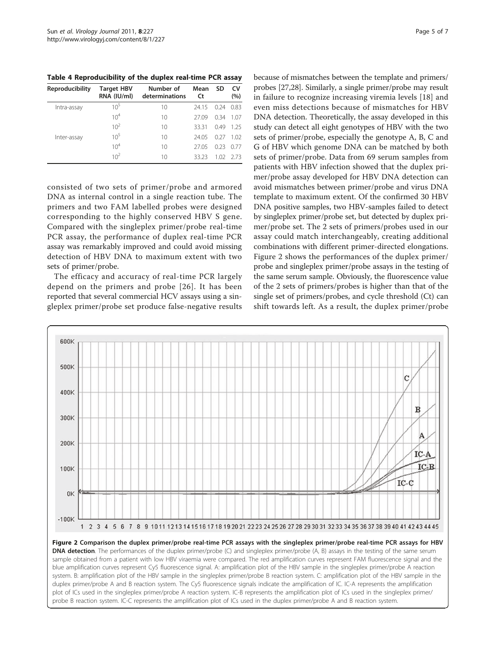<span id="page-4-0"></span>Table 4 Reproducibility of the duplex real-time PCR assay

| Reproducibility | <b>Target HBV</b><br>RNA (IU/ml) | Number of<br>determinations | Mean<br>Ct | SD    | CV<br>(%) |
|-----------------|----------------------------------|-----------------------------|------------|-------|-----------|
| Intra-assay     | $10^{5}$                         | 10                          | 2415       | 0.24  | 0.83      |
|                 | 10 <sup>4</sup>                  | 10                          | 27.09      | 0.34  | 1.07      |
|                 | 10 <sup>2</sup>                  | 10                          | 33.31      | 0.49  | 125       |
| Inter-assay     | $10^{5}$                         | 10                          | 24.05      | 0.27  | 1.02      |
|                 | 10 <sup>4</sup>                  | 10                          | 27.05      | 0.23  | 0.77      |
|                 | 10 <sup>2</sup>                  | 10                          | 33 23      | 1.02. | - 2.73    |

consisted of two sets of primer/probe and armored DNA as internal control in a single reaction tube. The primers and two FAM labelled probes were designed corresponding to the highly conserved HBV S gene. Compared with the singleplex primer/probe real-time PCR assay, the performance of duplex real-time PCR assay was remarkably improved and could avoid missing detection of HBV DNA to maximum extent with two sets of primer/probe.

The efficacy and accuracy of real-time PCR largely depend on the primers and probe [[26](#page-6-0)]. It has been reported that several commercial HCV assays using a singleplex primer/probe set produce false-negative results

Page 5 of 7

probes [\[27,28\]](#page-6-0). Similarly, a single primer/probe may result in failure to recognize increasing viremia levels [\[18](#page-6-0)] and even miss detections because of mismatches for HBV DNA detection. Theoretically, the assay developed in this study can detect all eight genotypes of HBV with the two sets of primer/probe, especially the genotype A, B, C and G of HBV which genome DNA can be matched by both sets of primer/probe. Data from 69 serum samples from patients with HBV infection showed that the duplex primer/probe assay developed for HBV DNA detection can avoid mismatches between primer/probe and virus DNA template to maximum extent. Of the confirmed 30 HBV DNA positive samples, two HBV-samples failed to detect by singleplex primer/probe set, but detected by duplex primer/probe set. The 2 sets of primers/probes used in our assay could match interchangeably, creating additional combinations with different primer-directed elongations. Figure 2 shows the performances of the duplex primer/ probe and singleplex primer/probe assays in the testing of the same serum sample. Obviously, the fluorescence value of the 2 sets of primers/probes is higher than that of the single set of primers/probes, and cycle threshold (Ct) can shift towards left. As a result, the duplex primer/probe

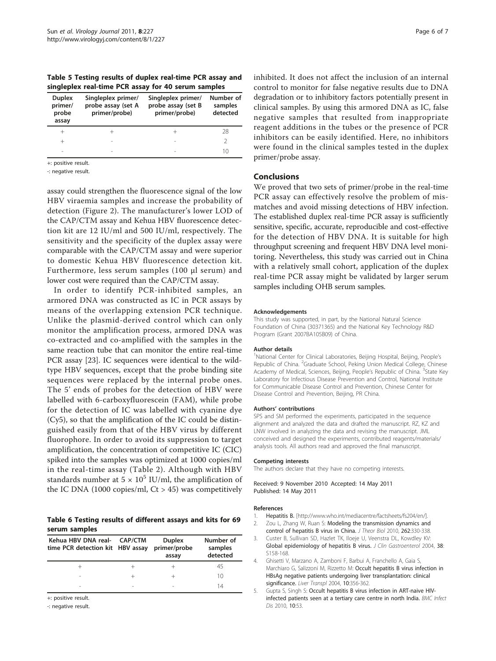<span id="page-5-0"></span>Table 5 Testing results of duplex real-time PCR assay and singleplex real-time PCR assay for 40 serum samples

| <b>Duplex</b><br>primer/<br>probe<br>assay | Singleplex primer/<br>probe assay (set A<br>primer/probe) | Singleplex primer/<br>probe assay (set B<br>primer/probe) | Number of<br>samples<br>detected |
|--------------------------------------------|-----------------------------------------------------------|-----------------------------------------------------------|----------------------------------|
| $^+$                                       |                                                           |                                                           | 28                               |
| $^+$                                       |                                                           |                                                           |                                  |
| $\overline{\phantom{a}}$                   | -                                                         | -                                                         | 10                               |
|                                            |                                                           |                                                           |                                  |

+: positive result.

-: negative result.

assay could strengthen the fluorescence signal of the low HBV viraemia samples and increase the probability of detection (Figure [2](#page-4-0)). The manufacturer's lower LOD of the CAP/CTM assay and Kehua HBV fluorescence detection kit are 12 IU/ml and 500 IU/ml, respectively. The sensitivity and the specificity of the duplex assay were comparable with the CAP/CTM assay and were superior to domestic Kehua HBV fluorescence detection kit. Furthermore, less serum samples (100 μl serum) and lower cost were required than the CAP/CTM assay.

In order to identify PCR-inhibited samples, an armored DNA was constructed as IC in PCR assays by means of the overlapping extension PCR technique. Unlike the plasmid-derived control which can only monitor the amplification process, armored DNA was co-extracted and co-amplified with the samples in the same reaction tube that can monitor the entire real-time PCR assay [\[23](#page-6-0)]. IC sequences were identical to the wildtype HBV sequences, except that the probe binding site sequences were replaced by the internal probe ones. The 5' ends of probes for the detection of HBV were labelled with 6-carboxyfluorescein (FAM), while probe for the detection of IC was labelled with cyanine dye (Cy5), so that the amplification of the IC could be distinguished easily from that of the HBV virus by different fluorophore. In order to avoid its suppression to target amplification, the concentration of competitive IC (CIC) spiked into the samples was optimized at 1000 copies/ml in the real-time assay (Table [2\)](#page-3-0). Although with HBV standards number at  $5 \times 10^5$  IU/ml, the amplification of the IC DNA (1000 copies/ml,  $Ct > 45$ ) was competitively

#### Table 6 Testing results of different assays and kits for 69 serum samples

| Kehua HBV DNA real- CAP/CTM<br>time PCR detection kit HBV assay |                          | <b>Duplex</b><br>primer/probe<br>assay | Number of<br>samples<br>detected |
|-----------------------------------------------------------------|--------------------------|----------------------------------------|----------------------------------|
|                                                                 |                          |                                        | 45                               |
| $\sim$                                                          |                          |                                        | 10                               |
| -                                                               | $\overline{\phantom{a}}$ |                                        | 14                               |

+: positive result.

-: negative result.

Page 6 of 7

inhibited. It does not affect the inclusion of an internal control to monitor for false negative results due to DNA degradation or to inhibitory factors potentially present in clinical samples. By using this armored DNA as IC, false negative samples that resulted from inappropriate reagent additions in the tubes or the presence of PCR inhibitors can be easily identified. Here, no inhibitors were found in the clinical samples tested in the duplex primer/probe assay.

## Conclusions

We proved that two sets of primer/probe in the real-time PCR assay can effectively resolve the problem of mismatches and avoid missing detections of HBV infection. The established duplex real-time PCR assay is sufficiently sensitive, specific, accurate, reproducible and cost-effective for the detection of HBV DNA. It is suitable for high throughput screening and frequent HBV DNA level monitoring. Nevertheless, this study was carried out in China with a relatively small cohort, application of the duplex real-time PCR assay might be validated by larger serum samples including OHB serum samples.

#### Acknowledgements

This study was supported, in part, by the National Natural Science Foundation of China (30371365) and the National Key Technology R&D Program (Grant 2007BA105B09) of China.

#### Author details

<sup>1</sup>National Center for Clinical Laboratories, Beijing Hospital, Beijing, People's Republic of China. <sup>2</sup>Graduate School, Peking Union Medical College, Chinese Academy of Medical, Sciences, Beijing, People's Republic of China. <sup>3</sup>State Key Laboratory for Infectious Disease Prevention and Control, National Institute for Communicable Disease Control and Prevention, Chinese Center for Disease Control and Prevention, Beijing, PR China.

#### Authors' contributions

SPS and SM performed the experiments, participated in the sequence alignment and analyzed the data and drafted the manuscript. RZ, KZ and LNW involved in analyzing the data and revising the manuscript. JML conceived and designed the experiments, contributed reagents/materials/ analysis tools. All authors read and approved the final manuscript.

#### Competing interests

The authors declare that they have no competing interests.

Received: 9 November 2010 Accepted: 14 May 2011 Published: 14 May 2011

#### References

- 1. Hepatitis B. [[http://www.who.int/mediacentre/factsheets/fs204/en/\]](http://www.who.int/mediacentre/factsheets/fs204/en/). 2. Zou L, Zhang W, Ruan S: [Modeling the transmission dynamics and](http://www.ncbi.nlm.nih.gov/pubmed/19822154?dopt=Abstract)
- [control of hepatitis B virus in China.](http://www.ncbi.nlm.nih.gov/pubmed/19822154?dopt=Abstract) J Theor Biol 2010, 262:330-338. 3. Custer B, Sullivan SD, Hazlet TK, Iloeje U, Veenstra DL, Kowdley KV:
- [Global epidemiology of hepatitis B virus.](http://www.ncbi.nlm.nih.gov/pubmed/15602165?dopt=Abstract) J Clin Gastroenterol 2004, 38: S158-168.
- 4. Ghisetti V, Marzano A, Zamboni F, Barbui A, Franchello A, Gaia S, Marchiaro G, Salizzoni M, Rizzetto M: [Occult hepatitis B virus infection in](http://www.ncbi.nlm.nih.gov/pubmed/15004761?dopt=Abstract) [HBsAg negative patients undergoing liver transplantation: clinical](http://www.ncbi.nlm.nih.gov/pubmed/15004761?dopt=Abstract) [significance.](http://www.ncbi.nlm.nih.gov/pubmed/15004761?dopt=Abstract) Liver Transpl 2004, 10:356-362.
- 5. Gupta S, Singh S: [Occult hepatitis B virus infection in ART-naive HIV](http://www.ncbi.nlm.nih.gov/pubmed/20205948?dopt=Abstract)[infected patients seen at a tertiary care centre in north India.](http://www.ncbi.nlm.nih.gov/pubmed/20205948?dopt=Abstract) BMC Infect Dis 2010, 10:53.